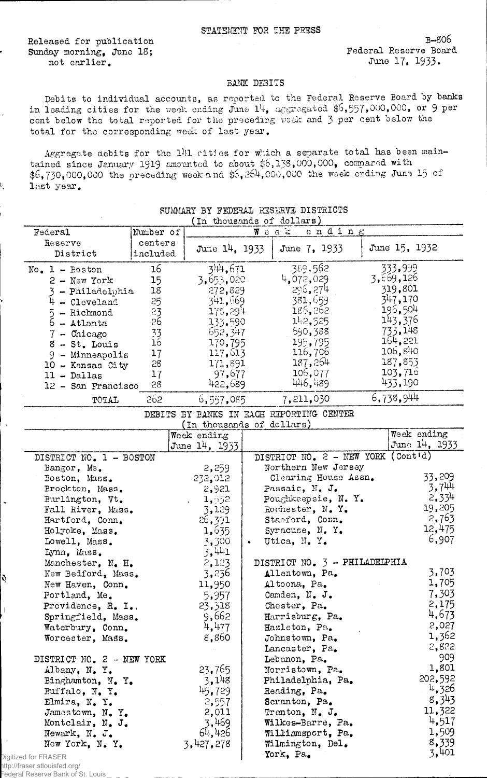## STATEMENT FOR THE PRESS

Released for publication Sunday morning, June IS; not earlier.

 $\bar{z}$ 

 $\bar{\epsilon}$ 

V.

B-S06 Federal Reserve Board June 17, 1933.

## BANK DEBITS

Debits to individual accounts, as reported to the Federal Reserve Board by banks in leading cities for the week ending June  $1\frac{1}{4}$ , aggregated \$6,557,000,000, or 9 per cent below the total reported for the preceding week and 3 per cent below the total for the corresponding week of last year.

Aggregate debits for the 141 cities for which a separate total has been maintained since January 1919 amounted to about \$6,133,000,000, compared with \$6,730,000,000 the preceding week and \$6,264,000,000 the week ending June 15 of last year.

| In thousands of dollars)        |                  |                           |           |                                          |  |               |
|---------------------------------|------------------|---------------------------|-----------|------------------------------------------|--|---------------|
| Federal                         | Number of        |                           |           | ending<br>$W$ eek                        |  |               |
| Reserve                         | centers          |                           |           |                                          |  |               |
| District                        | included         | June 14, 1933             |           | June 7, 1933                             |  | June 15, 1932 |
|                                 |                  |                           |           |                                          |  |               |
| $No. 1 - Boston$                | 16 <sup>1</sup>  | 344,671                   |           | 389,562                                  |  | 333,999       |
| $2 - New York$                  | 15 <sub>15</sub> | 3,653,020                 |           | 4,072,029                                |  | 3,669,126     |
| - Philadelphia                  | 18               | 272,829                   |           | 296, 274                                 |  | 319,801       |
| $4 - C1$ eveland                | 25               | 341,669                   |           | 381,659                                  |  | 347,170       |
|                                 | $\overline{23}$  | 178,294                   |           | 186,262                                  |  | 196,504       |
| $5 -$ Richmond<br>$6 -$ Atlanta | 26               | 133,590                   |           | 142,525                                  |  | 143,376       |
|                                 |                  | 652,347                   |           | 590,388                                  |  | 733,148       |
| $7 -$ Chicago                   | $\frac{33}{16}$  |                           |           |                                          |  | 164,221       |
| $8 - St.$ Louis                 |                  | 170,795                   |           | 195,795                                  |  | 106,840       |
| $9$ - Minneapolis               | 17               | 117,613                   |           | 11.6,706                                 |  |               |
| 10 - Kansas City                | 28               | 171,891                   |           | 187,264                                  |  | 187,853       |
| $11 -$ Dallas                   | 17               | 97,677                    |           | 106,077                                  |  | 103,716       |
| 12 - San Francisco              | 28               | 422,689                   |           | 446,489                                  |  | 433,190       |
| TOTAL                           | 262              | 6,557,085                 |           | 7,211,030                                |  | 6,738,944     |
|                                 |                  |                           |           | DEBITS BY BANKS IN EACH REPORTING CENTER |  |               |
|                                 |                  | (In thousands of dollars) |           |                                          |  |               |
|                                 |                  | Week ending               |           |                                          |  | Week ending   |
|                                 |                  | June 14, 1933             |           |                                          |  | June 14, 1933 |
| DISTRICT NO. 1 - BOSTON         |                  |                           |           | DISTRICT NO. 2 - NEW YORK (Cont'd)       |  |               |
| Bangor, Me.                     |                  | 2,259                     |           | Northern New Jersey                      |  |               |
| Boston, Mass.                   |                  | 232,012                   |           | Clearing House Assn.                     |  | 33,209        |
| Brockton, Mass.                 |                  | 2,921                     |           | Passaic, N. J.                           |  | 3,744         |
| Burlington, Vt.                 |                  | 1,552                     |           | Poughkeepsie, N. Y.                      |  | 2,334         |
| Fall River, Mass.               |                  | 3,129                     |           | Rochester, N. Y.                         |  | 19,205        |
| Hartford, Conn.                 |                  | 26,391                    |           | Stamford, Conn.                          |  | 2,763         |
|                                 |                  |                           |           |                                          |  | 12,475        |
| Holyoke, Mass.                  |                  | 1,635                     |           | Syracuse, N.Y.                           |  | 6,907         |
| Lowell, Mass.                   |                  | 3,300                     | $\bullet$ | Utica, N.Y.                              |  |               |
| Lynn, Mass.                     |                  | 3,441                     |           |                                          |  |               |
| Manchester, N. H.               |                  | 2,123                     |           | DISTRICT NO. 3 - PHILADELPHIA            |  |               |
| New Bedford, Mass.              |                  | 3,236                     |           | Allentown, Pa.                           |  | 3,703         |
| New Haven, Conn.                |                  | 11,950                    |           | Altoona, Pa.                             |  | 1,705         |
| Portland, Me.                   |                  | 5,957                     |           | Camden, N. J.                            |  | 7,303         |
| Providence, R. I                |                  | 23,318                    |           | Chester, Pa.                             |  | 2,175         |
| Springfield, Mass.              |                  | 9,662                     |           | Harrisburg, Pa.                          |  | 4,673         |
| Waterbury, Conn.                |                  | 4,477                     |           | Hazleton, Pa.                            |  | 2,027         |
| Worcester, Mass.                |                  | 8,860                     |           | Johnstown, Pa.                           |  | 1,362         |
|                                 |                  |                           |           | Lancaster, Pa.                           |  | 2,822         |
| DISTRICT NO. 2 - NEW YORK       |                  |                           |           | Lebanon, Pa.                             |  | 909           |
|                                 |                  | 23,765                    |           | Norristown, Pa.                          |  | 1,801         |
| Albany, N.Y.                    |                  | 3,148                     |           |                                          |  | 202,592       |
| Binghamton, N. Y.               |                  |                           |           | Philadelphia, Pa.                        |  | 4,326         |
| Buffalo, N.Y.                   |                  | 145, 729                  |           | Reading, Pa.                             |  | 8,343         |
| Elmira, N.Y.                    |                  | 2,557                     |           | Scranton, Pa.                            |  |               |
| Jamestown, N.Y.                 |                  | 2,011                     |           | Trenton, N. J.                           |  | 11,322        |
| Montclair, N. J.                |                  | 3,469                     |           | Wilkes-Barre, Pa.                        |  | 4,517         |
| Newark, N. J.                   |                  | 64,426                    |           | Williamsport, Pa.                        |  | 1,509         |
| New York, N.Y.                  |                  | 3,427,278                 |           | Wilmington, Del.                         |  | 8,339         |
| ed for FRASER                   |                  |                           |           | York, Pa.                                |  | 3,401         |
|                                 |                  |                           |           |                                          |  |               |

## SUMMARY BY FEDERAL RESERVE DISTRICTS

Digitize http://fraser.stlouisfed.org/

Ŋ

 $\overline{\phantom{a}}$ 

Federal Reserve Bank of St. Louis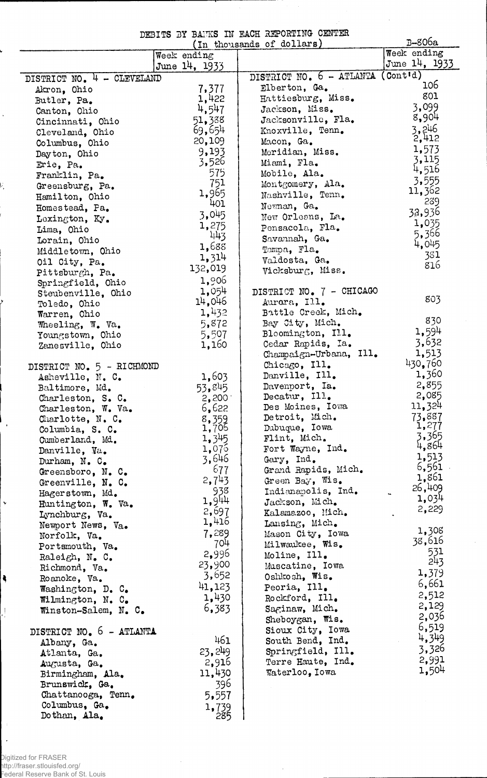|  |  |  | DEBITS BY BANKS IN HACH REPORTING CENTER |  |
|--|--|--|------------------------------------------|--|
|  |  |  | $(m + \hbar)$ thousands of dollars)      |  |

 $\sim$ 

 $\hat{\boldsymbol{\beta}}$ 

 $\Delta\sigma$ 

|                            |                       | In thousands of dollars) | B-806a                   |
|----------------------------|-----------------------|--------------------------|--------------------------|
|                            | Week ending           |                          | Week ending              |
|                            | June 14, 1933         |                          | June 14, 1933            |
| DISTRICT NO. 4 - CLEVELAND |                       | DISTRICT NO. 6 - ATLANTA | $($ Cont <sup>1</sup> d) |
| Akron, Ohio                | 7,377                 | Elberton, Ga.            | 106                      |
| Butler, Pa.                | 1,422                 | Hattiesburg, Miss.       | 801                      |
| Canton, Ohio               | 4,547                 | Jackson, Miss.           | 3,099                    |
| Cincinnati, Ohio           | 51,388                | Jacksonville, Fla.       | 8,904                    |
| Cleveland, Ohio            | 69,654                | Knoxville, Tenn.         | 3,246                    |
| Columbus, Ohio             | 20,109                | Macon, Ga.               | 2,412                    |
| Dayton, Ohio               | 9,193                 | Meridian, Miss.          | 1,573                    |
| Erie, Pa.                  | 3,526                 | Miami, Fla.              | 3,115                    |
| Franklin, Pa.              | 575                   | Mobile, Ala.             | 4,516                    |
| Greensburg, Pa.            | 751                   | Montgomery, Ala.         | 3,555                    |
| Hamilton, Ohio             | 1,965                 | Nashville, Tenn.         | 11,362                   |
| Homestead, Pa.             | 401                   | Newnan, Ga.              | 239                      |
| Lexington, Ky.             | 3,045                 | New Orleans, La.         | 32,936                   |
| Lima, Ohio                 | 1,275                 | Pensacola, Fla.          | 1,035                    |
| Lorain, Ohio               | 443                   | Savannah, Ga.            | 5,366                    |
| Middletown, Ohio           | 1,688                 | Tampa, Fla.              | 4,045                    |
| Oil City, Pa.              | 1,314                 | Valdosta, Ga.            | 381                      |
| Pittsburgh, Pa.            | 132,019               | Vicksburg, Miss.         | 816                      |
| Springfield, Ohio          | 1,906                 |                          |                          |
| Steubenville, Ohio         | 1,054                 | DISTRICT NO. 7 - CHICAGO |                          |
| Toledo, Ohio               | 14,046                | Aurara, Ill.             | 803                      |
| Warren, Ohio               | 1,432                 | Battle Creek, Mich.      |                          |
| Wheeling, W. Va.           | 5,872                 | Bay City, Mich.          | 830                      |
| Youngstown, Ohio           | 5,507                 | Bloomington, Ill.        | 1,594                    |
| Zanesville, Ohio           | 1,160                 | Cedar Rapids, Ia.        | 3,632                    |
|                            |                       | Champaign-Urbana, Ill.   | 1,513                    |
| DISTRICT NO. 5 - RICHMOND  |                       | Chicago, Ill.            | 430,760                  |
| Asheville, N. C.           | 1,603                 | Danville, Ill.           | 1,360                    |
| Baltimore, Md.             | 53,845                | Davenport, Ia.           | 2,855                    |
| Charleston, S. C.          | 2,200                 | Decatur, $111.$          | 2,085                    |
| Charleston, W. Va.         | 6,622                 | Des Moines, Iowa         | 11,324                   |
| Charlotte, $N_c$ . C.      |                       | Detroit, Mich.           | 73,887                   |
| Columbia, S. C.            | $\frac{8,359}{1,705}$ | Dubuque, Iowa            | 1,277                    |
| Cumberland, Md.            | 1,345                 | Flint, Mich.             | 3,365                    |
| Danville, Va.              | 1,075                 | Fort Wayne, Ind.         | 4,864                    |
| Durham, N. C.              | 3,646                 | Gary, Ind.               | 1,513                    |
| Greensboro, N. C.          | 677                   | Grand Rapids, Mich.      | 6,561                    |
| Greenville, N. C.          | 2,743                 | Green Bay, Wis.          | 1,861<br>26,409          |
| Hagerstown, Md.            | 938                   | Indianapolis, Ind.       | 1,034                    |
| Huntington, W. Va.         | 1,944                 | Jackson, Mich.           | 2,229                    |
| Lynchburg, Va.             | 2,697                 | Kalamazoo, Mich.         |                          |
| Newport News, Va.          | 1,416                 | Lansing, Mich.           | 1,308                    |
| Norfolk, Va.               | 7,289                 | Mason City, Iowa         | 38,616                   |
| Portsmouth, Va.            | 704                   | Milwaukee, Wis.          | 531                      |
| Raleigh, N. C.             | 2,996                 | Moline, Ill.             | 243                      |
| Richmond, Va.              | 23,900                | Muscatine, Iowa          | 1,379                    |
| Roanoke, Va.               | 3,652                 | Oshkosh, Wis.            | 6,661                    |
| Washington, D. C.          | 41,123                | Peoria, Ill.             | 2,512                    |
| Wilmington, N. C.          | 1,430                 | Rockford, Ill.           |                          |
| Winston-Salem, N. C.       | 6,383                 | Saginaw, Mich.           | 2,129                    |
|                            |                       | Sheboygan, Wis.          | 2,036                    |
| DISTRICT NO. 6 - ATLANTA   |                       | Sioux City, Iowa         | 6,519                    |
| Albany, Ga.                | 461                   | South Bend, Ind.         | 4,349                    |
| Atlanta, Ga.               | 23, 249               | Springfield, Ill.        | 3,326                    |
| Augusta, Ga.               | 2,916                 | Terre Haute, Ind.        | 2,991<br>1,504           |
| Birmingham, Ala.           | 11,430                | Waterloo, Iowa           |                          |
| Brunswick, Ga.             | 396                   |                          |                          |
| Chattanooga, Tenn.         | 5,557                 |                          |                          |
| Columbus, Ga.              | 1,739                 |                          |                          |
| Dothan, Ala.               | 285                   |                          |                          |

Ļ

 $\hat{\mathbf{r}}$ 

V,

 $\mathbf{r}$ 

 $\ddot{\phantom{0}}$ 

 $\bar{\star}$ 

 $\left| \bullet \right|$ 

ļ.

 $\hat{\mathcal{A}}$ 

 $\hat{\mathcal{A}}$ 

 $\hat{\boldsymbol{\beta}}$